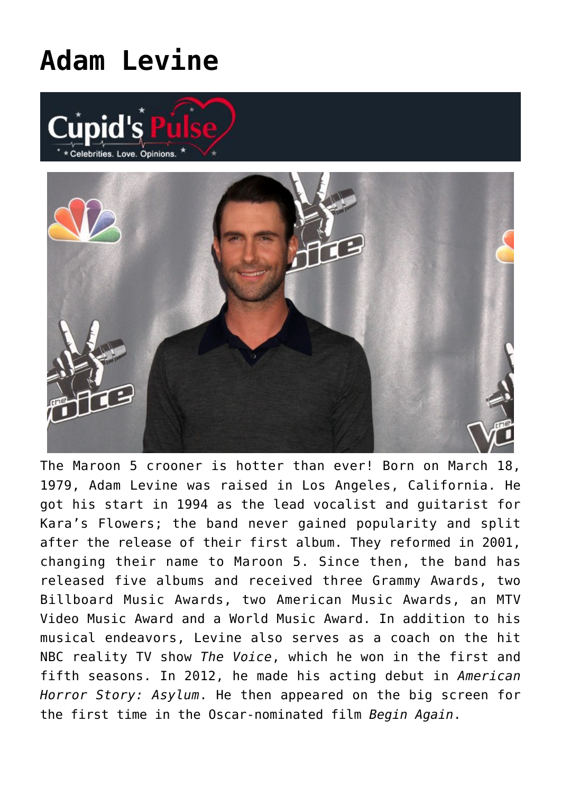## **[Adam Levine](https://cupidspulse.com/87710/adam-levine/)**





The Maroon 5 crooner is hotter than ever! Born on March 18, 1979, Adam Levine was raised in Los Angeles, California. He got his start in 1994 as the lead vocalist and guitarist for Kara's Flowers; the band never gained popularity and split after the release of their first album. They reformed in 2001, changing their name to Maroon 5. Since then, the band has released five albums and received three Grammy Awards, two Billboard Music Awards, two American Music Awards, an MTV Video Music Award and a World Music Award. In addition to his musical endeavors, Levine also serves as a coach on the hit NBC reality TV show *The Voice*, which he won in the first and fifth seasons. In 2012, he made his acting debut in *American Horror Story: Asylum*. He then appeared on the big screen for the first time in the Oscar-nominated film *Begin Again*.